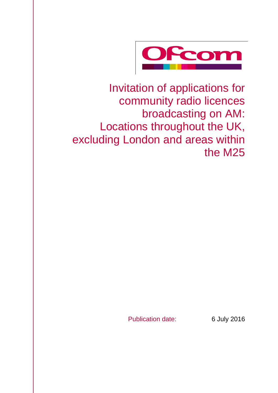

Invitation of applications for community radio licences broadcasting on AM: Locations throughout the UK, excluding London and areas within the M25

Publication date: 6 July 2016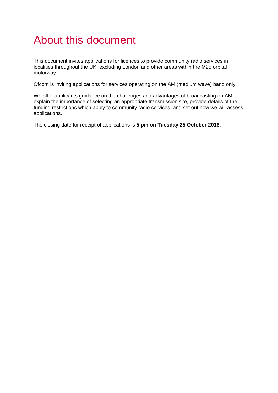# About this document

This document invites applications for licences to provide community radio services in localities throughout the UK, excluding London and other areas within the M25 orbital motorway.

Ofcom is inviting applications for services operating on the AM (medium wave) band only.

We offer applicants guidance on the challenges and advantages of broadcasting on AM, explain the importance of selecting an appropriate transmission site, provide details of the funding restrictions which apply to community radio services, and set out how we will assess applications.

The closing date for receipt of applications is **5 pm on Tuesday 25 October 2016**.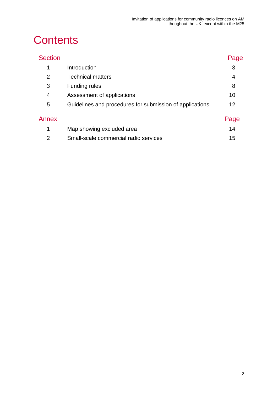# **Contents**

| <b>Section</b> |                                                          | Page |
|----------------|----------------------------------------------------------|------|
| 1              | Introduction                                             | 3    |
| 2              | <b>Technical matters</b>                                 | 4    |
| 3              | <b>Funding rules</b>                                     | 8    |
| 4              | Assessment of applications                               | 10   |
| 5              | Guidelines and procedures for submission of applications | 12   |
| Annex          |                                                          | Page |
| $\mathbf 1$    | Map showing excluded area                                | 14   |
| $\overline{2}$ | Small-scale commercial radio services                    | 15   |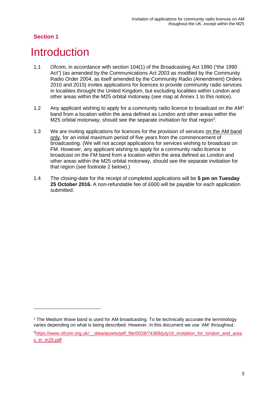-

## <span id="page-3-0"></span>**Introduction**

- 1.1 Ofcom, in accordance with section 104(1) of the Broadcasting Act 1990 ("the 1990 Act") (as amended by the Communications Act 2003 as modified by the Community Radio Order 2004, as itself amended by the Community Radio (Amendment) Orders 2010 and 2015) invites applications for licences to provide community radio services in localities throught the United Kingdom, but excluding localities within London and other areas within the M25 orbital motorway (see map at Annex 1 to this notice).
- [1](#page-3-1).2 Any applicant wishing to apply for a community radio licence to broadcast on the AM<sup>1</sup> band from a location within the area defined as London and other areas within the M[2](#page-3-2)5 orbital motorway, should see the separate invitiation for that region<sup>2</sup>.
- 1.3 We are inviting applications for licences for the provision of services on the AM band only, for an initial maximum period of five years from the commencement of broadcasting. (We will not accept applications for services wishing to broadcast on FM. However, any applicant wishing to apply for a community radio licence to broadcast on the FM band from a location within the area defined as London and other areas within the M25 orbital motorway, should see the separate invitiation for that region (see footnote 2 below).)
- 1.4 The closing-date for the receipt of completed applications will be **5 pm on Tuesday 25 October 2016.** A non-refundable fee of £600 will be payable for each application submitted.

<span id="page-3-1"></span><sup>&</sup>lt;sup>1</sup> The Medium Wave band is used for AM broadcasting. To be technically accurate the terminology varies depending on what is being described. However, in this document we use 'AM' throughout.

<span id="page-3-2"></span><sup>&</sup>lt;sup>2</sup>https://www.ofcom.org.uk/ data/assets/pdf\_file/0028/74368/july16\_invitation\_for\_london\_and\_area [s\\_in\\_m25.pdf](https://www.ofcom.org.uk/__data/assets/pdf_file/0028/74368/july16_invitation_for_london_and_areas_in_m25.pdf)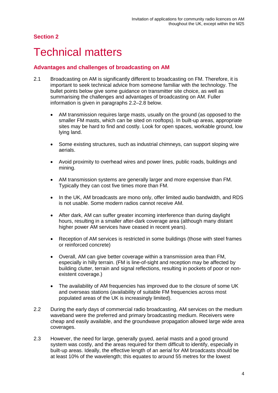### <span id="page-4-0"></span>**Technical matters**

#### **Advantages and challenges of broadcasting on AM**

- 2.1 Broadcasting on AM is significantly different to broadcasting on FM. Therefore, it is important to seek technical advice from someone familiar with the technology. The bullet points below give some guidance on transmitter site choice, as well as summarising the challenges and advantages of broadcasting on AM. Fuller information is given in paragraphs 2.2–2.8 below.
	- AM transmission requires large masts, usually on the ground (as opposed to the smaller FM masts, which can be sited on rooftops). In built-up areas, appropriate sites may be hard to find and costly. Look for open spaces, workable ground, low lying land.
	- Some existing structures, such as industrial chimneys, can support sloping wire aerials.
	- Avoid proximity to overhead wires and power lines, public roads, buildings and mining.
	- AM transmission systems are generally larger and more expensive than FM. Typically they can cost five times more than FM.
	- In the UK, AM broadcasts are mono only, offer limited audio bandwidth, and RDS is not usable. Some modern radios cannot receive AM.
	- After dark, AM can suffer greater incoming interference than during daylight hours, resulting in a smaller after-dark coverage area (although many distant higher power AM services have ceased in recent years).
	- Reception of AM services is restricted in some buildings (those with steel frames or reinforced concrete)
	- Overall, AM can give better coverage within a transmission area than FM, especially in hilly terrain. (FM is line-of-sight and reception may be affected by building clutter, terrain and signal reflections, resulting in pockets of poor or nonexistent coverage.)
	- The availability of AM frequencies has improved due to the closure of some UK and overseas stations (availability of suitable FM frequencies across most populated areas of the UK is increasingly limited).
- 2.2 During the early days of commercial radio broadcasting, AM services on the medium waveband were the preferred and primary broadcasting medium. Receivers were cheap and easily available, and the groundwave propagation allowed large wide area coverages.
- 2.3 However, the need for large, generally guyed, aerial masts and a good ground system was costly, and the areas required for them difficult to identify, especially in built-up areas. Ideally, the effective length of an aerial for AM broadcasts should be at least 10% of the wavelength; this equates to around 55 metres for the lowest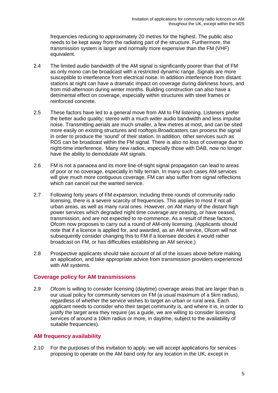frequencies reducing to approximately 20 metres for the highest. The public also needs to be kept away from the radiating part of the structure. Furthermore, the transmission system is larger and normally more expensive than the FM (VHF) equivalent.

- 2.4 The limited audio bandwidth of the AM signal is significantly poorer than that of FM as only mono can be broadcast with a restricted dynamic range. Signals are more susceptible to interference from electrical noise. In addition interference from distant stations at night can have a dramatic impact on coverage during darkness hours, and from mid-afternoon during winter months. Building construction can also have a detrimental effect on coverage, especially within structures with steel frames or reinforced concrete.
- 2.5 These factors have led to a general move from AM to FM listening. Listeners prefer the better audio quality; stereo with a much wider audio bandwidth and less impulse noise. Transmitting aerials are much smaller, a few metres at most, and can be sited more easily on existing structures and rooftops.Broadcasters can process the signal in order to produce the 'sound' of their station. In addition, other services such as RDS can be broadcast within the FM signal. There is also no loss of coverage due to night-time interference. Many new radios, especially those with DAB, now no longer have the ability to demodulate AM signals.
- 2.6 FM is not a panacea and its more line-of-sight signal propagation can lead to areas of poor or no coverage, especially in hilly terrain. In many such cases AM services will give much more contiguous coverage. FM can also suffer from signal reflections which can cancel out the wanted service.
- 2.7 Following forty years of FM expansion, including three rounds of community radio licensing, there is a severe scarcity of frequencies. This applies to most if not all urban areas, as well as many rural ones. However, on AM many of the distant high power services which degraded night time coverage are ceasing, or have ceased, transmission, and are not expected to re-commence. As a result of these factors, Ofcom now proposes to carry out a round of AM-only licensing. (Applicants should note that if a licence is applied for, and awarded, as an AM service, Ofcom will not subsequently consider changing this to FM if a licensee decides it would rather broadcast on FM, or has difficulties establishing an AM service.)
- 2.8 Prospective applicants should take account of all of the issues above before making an application, and take appropriate advice from transmission providers experienced with AM systems.

#### **Coverage policy for AM transmissions**

2.9 Ofcom is willing to consider licensing (daytime) coverage areas that are larger than is our usual policy for community services on FM (a usual maximum of a 5km radius), regardless of whether the service wishes to target an urban or rural area. Each applicant needs to consider who their target community is, and where it is, in order to justify the target area they require (as a guide, we are willing to consider licensing services of around a 10km radius or more, in daytime, subject to the availability of suitable frequencies).

#### **AM frequency availability**

2.10 For the purposes of this invitation to apply, we will accept applications for services proposing to operate on the AM band only for any location in the UK, except in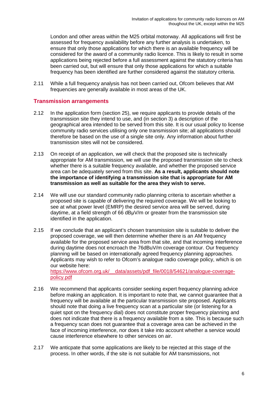London and other areas within the M25 orbital motorway. All applications will first be assessed for frequency availability before any further analysis is undertaken, to ensure that only those applications for which there is an available frequency will be considered for the award of a community radio licence. This is likely to result in some applications being rejected before a full assessment against the statutory criteria has been carried out, but will ensure that only those applications for which a suitable frequency has been identified are further considered against the statutory criteria.

2.11 While a full frequency analysis has not been carried out, Ofcom believes that AM frequencies are generally available in most areas of the UK.

#### **Transmission arrangements**

- 2.12 In the application form (section 25), we require applicants to provide details of the transmission site they intend to use, and (in section 3) a description of the geographical area intended to be served from this site. It is our usual policy to license community radio services utilising only one transmission site; all applications should therefore be based on the use of a single site only. Any information about further transmission sites will not be considered.
- 2.13 On receipt of an application, we will check that the proposed site is technically appropriate for AM transmission, we will use the proposed transmission site to check whether there is a suitable frequency available, and whether the proposed service area can be adequately served from this site. **As a result, applicants should note the importance of identifying a transmission site that is appropriate for AM transmission as well as suitable for the area they wish to serve.**
- 2.14 We will use our standard community radio planning criteria to ascertain whether a proposed site is capable of delivering the required coverage. We will be looking to see at what power level (EMRP) the desired service area will be served, during daytime, at a field strength of 66 dBuV/m or greater from the transmission site identified in the application.
- 2.15 If we conclude that an applicant's chosen transmission site is suitable to deliver the proposed coverage, we will then determine whether there is an AM frequency available for the proposed service area from that site, and that incoming interference during daytime does not encroach the 76dBuV/m coverage contour. Our frequency planning will be based on internationally agreed frequency planning approaches. Applicants may wish to refer to Ofcom's analogue radio coverage policy, which is on our website here:

[https://www.ofcom.org.uk/\\_\\_data/assets/pdf\\_file/0018/54621/analogue-coverage](https://www.ofcom.org.uk/__data/assets/pdf_file/0018/54621/analogue-coverage-policy.pdf)[policy.pdf](https://www.ofcom.org.uk/__data/assets/pdf_file/0018/54621/analogue-coverage-policy.pdf)

- 2.16 We recommend that applicants consider seeking expert frequency planning advice before making an application. It is important to note that, we cannot guarantee that a frequency will be available at the particular transmission site proposed. Applicants should note that doing a live frequency scan at a particular site (or listening for a quiet spot on the frequency dial) does not constitute proper frequency planning and does not indicate that there is a frequency available from a site. This is because such a frequency scan does not guarantee that a coverage area can be achieved in the face of incoming interference, nor does it take into account whether a service would cause interference elsewhere to other services on air.
- 2.17 We anticpate that some applications are likely to be rejected at this stage of the process. In other words, if the site is not suitable for AM transmissions, not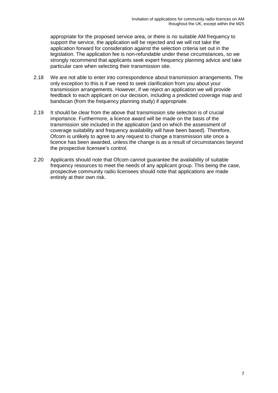appropriate for the proposed service area, or there is no suitable AM frequency to support the service, the application will be rejected and we will not take the application forward for consideration against the selection criteria set out in the legislation. The application fee is non-refundable under these circumstances, so we strongly recommend that applicants seek expert frequency planning advice and take particular care when selecting their transmission site.

- 2.18 We are not able to enter into correspondence about transmission arrangements. The only exception to this is if we need to seek clarification from you about your transmission arrangements. However, if we reject an application we will provide feedback to each applicant on our decision, including a predicted coverage map and bandscan (from the frequency planning study) if appropriate.
- 2.19 It should be clear from the above that transmission site selection is of crucial importance. Furthermore, a licence award will be made on the basis of the transmission site included in the application (and on which the assessment of coverage suitability and frequency availability will have been based). Therefore, Ofcom is unlikely to agree to any request to change a transmission site once a licence has been awarded, unless the change is as a result of circumstances beyond the prospective licensee's control.
- 2.20 Applicants should note that Ofcom cannot guarantee the availability of suitable frequency resources to meet the needs of any applicant group. This being the case, prospective community radio licensees should note that applications are made entirely at their own risk.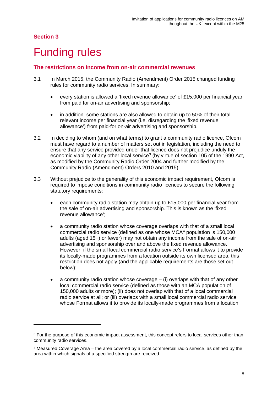-

## <span id="page-8-0"></span>**Funding rules**

#### **The restrictions on income from on-air commercial revenues**

- 3.1 In March 2015, the Community Radio (Amendment) Order 2015 changed funding rules for community radio services. In summary:
	- every station is allowed a 'fixed revenue allowance' of £15,000 per financial year from paid for on-air advertising and sponsorship;
	- in addition, some stations are also allowed to obtain up to 50% of their total relevant income per financial year (i.e. disregarding the 'fixed revenue allowance') from paid-for on-air advertising and sponsorship.
- 3.2 In deciding to whom (and on what terms) to grant a community radio licence, Ofcom must have regard to a number of matters set out in legislation, including the need to ensure that any service provided under that licence does not prejudice unduly the economic viability of any other local service<sup>[3](#page-8-1)</sup> (by virtue of section 105 of the 1990 Act, as modified by the Community Radio Order 2004 and further modified by the Community Radio (Amendment) Orders 2010 and 2015).
- 3.3 Without prejudice to the generality of this economic impact requirement, Ofcom is required to impose conditions in community radio licences to secure the following statutory requirements:
	- each community radio station may obtain up to  $£15,000$  per financial year from the sale of on-air advertising and sponsorship. This is known as the 'fixed revenue allowance';
	- a community radio station whose coverage overlaps with that of a small local commercial radio service (defined as one whose MCA[4](#page-8-2) population is 150,000 adults (aged 15+) or fewer) may not obtain any income from the sale of on-air advertising and sponsorship over and above the fixed revenue allowance. However, if the small local commercial radio service's Format allows it to provide its locally-made programmes from a location outside its own licensed area, this restriction does not apply (and the applicable requirements are those set out below);
	- a community radio station whose coverage  $-$  (i) overlaps with that of any other local commercial radio service (defined as those with an MCA population of 150,000 adults or more); (ii) does not overlap with that of a local commercial radio service at all; or (iii) overlaps with a small local commercial radio service whose Format allows it to provide its locally-made programmes from a location

<span id="page-8-1"></span><sup>&</sup>lt;sup>3</sup> For the purpose of this economic impact assessment, this concept refers to local services other than community radio services.

<span id="page-8-2"></span><sup>4</sup> Measured Coverage Area – the area covered by a local commercial radio service, as defined by the area within which signals of a specified strength are received.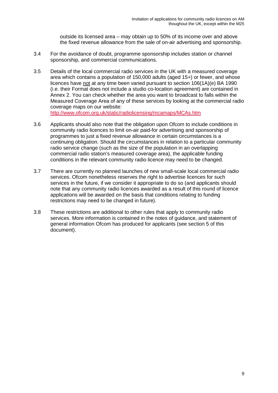outside its licensed area – may obtain up to 50% of its income over and above the fixed revenue allowance from the sale of on-air advertising and sponsorship.

- 3.4 For the avoidance of doubt, programme sponsorship includes station or channel sponsorship, and commercial communications.
- 3.5 Details of the local commercial radio services in the UK with a measured coverage area which contains a population of 150,000 adults (aged 15+) or fewer, and whose licences have not at any time been varied pursuant to section 106(1A)(e) BA 1990 (i.e. their Format does not include a studio co-location agreement) are contained in Annex 2. You can check whether the area you want to broadcast to falls within the Measured Coverage Area of any of these services by looking at the commercial radio coverage maps on our website: <http://www.ofcom.org.uk/static/radiolicensing/mcamaps/MCAs.htm>
- 3.6 Applicants should also note that the obligation upon Ofcom to include conditions in community radio licences to limit on-air paid-for advertising and sponsorship of programmes to just a fixed revenue allowance in certain circumstances is a continuing obligation. Should the circumstances in relation to a particular community radio service change (such as the size of the population in an overlapping commercial radio station's measured coverage area), the applicable funding conditions in the relevant community radio licence may need to be changed.
- 3.7 There are currently no planned launches of new small-scale local commercial radio services. Ofcom nonetheless reserves the right to advertise licences for such services in the future, if we consider it appropriate to do so (and applicants should note that any community radio licences awarded as a result of this round of licence applications will be awarded on the basis that conditions relating to funding restrictions may need to be changed in future).
- 3.8 These restrictions are additional to other rules that apply to community radio services. More information is contained in the notes of guidance, and statement of general information Ofcom has produced for applicants (see section 5 of this document).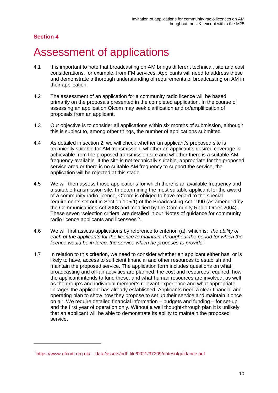-

## <span id="page-10-0"></span>4 Assessment of applications

- 4.1 It is important to note that broadcasting on AM brings different technical, site and cost considerations, for example, from FM services. Applicants will need to address these and demonstrate a thorough understanding of requirements of broadcasting on AM in their application.
- 4.2 The assessment of an application for a community radio licence will be based primarily on the proposals presented in the completed application. In the course of assessing an application Ofcom may seek clarification and or/amplification of proposals from an applicant.
- 4.3 Our objective is to consider all applications within six months of submission, although this is subject to, among other things, the number of applications submitted.
- 4.4 As detailed in section 2, we will check whether an applicant's proposed site is technically suitable for AM transmission, whether an applicant's desired coverage is achievable from the proposed transmission site and whether there is a suitable AM frequency available. If the site is not technically suitable, appropriate for the proposed service area or there is no suitable AM frequency to support the service, the application will be rejected at this stage.
- 4.5 We will then assess those applications for which there is an available frequency and a suitable transmission site. In determining the most suitable applicant for the award of a community radio licence, Ofcom is obliged to have regard to the special requirements set out in Section 105(1) of the Broadcasting Act 1990 (as amended by the Communications Act 2003 and modified by the Community Radio Order 2004). These seven 'selection critiera' are detailed in our 'Notes of guidance for community radio licence applicants and licensees'<sup>[5](#page-10-1)</sup>.
- 4.6 We will first assess applications by reference to criterion (a), which is: *"the ability of each of the applicants for the licence to maintain, throughout the period for which the licence would be in force, the service which he proposes to provide*".
- 4.7 In relation to this criterion, we need to consider whether an applicant either has, or is likely to have, access to sufficient financial and other resources to establish and maintain the proposed service. The application form includes questions on what broadcasting and off-air activities are planned, the cost and resources required, how the applicant intends to fund these, and what human resources are involved, as well as the group's and individual member's relevant experience and what appropriate linkages the applicant has already established. Applicants need a clear financial and operating plan to show how they propose to set up their service and maintain it once on air. We require detailed financial information – budgets and funding – for set-up and the first year of operation only. Without a well thought-through plan it is unlikely that an applicant will be able to demonstrate its ability to maintain the proposed service.

<span id="page-10-1"></span><sup>5</sup> [https://www.ofcom.org.uk/\\_\\_data/assets/pdf\\_file/0021/37209/notesofguidance.pdf](https://www.ofcom.org.uk/__data/assets/pdf_file/0021/37209/notesofguidance.pdf)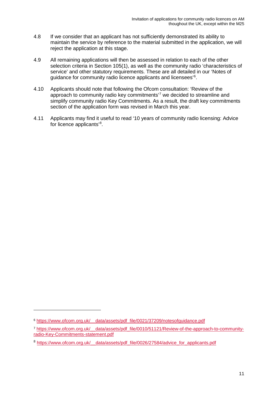- 4.8 If we consider that an applicant has not sufficiently demonstrated its ability to maintain the service by reference to the material submitted in the application, we will reject the application at this stage.
- 4.9 All remaining applications will then be assessed in relation to each of the other selection criteria in Section 105(1), as well as the community radio 'characteristics of service' and other statutory requirements. These are all detailed in our 'Notes of guidance for community radio licence applicants and licensees'[6](#page-11-0) .
- 4.10 Applicants should note that following the Ofcom consultation: 'Review of the approach to community radio key commitments'[7](#page-11-1) we decided to streamline and simplify community radio Key Commitments. As a result, the draft key commitments section of the application form was revised in March this year.
- 4.11 Applicants may find it useful to read '10 years of community radio licensing: Advice for licence applicants'<sup>[8](#page-11-2)</sup>.

-

<span id="page-11-0"></span><sup>6</sup> [https://www.ofcom.org.uk/\\_\\_data/assets/pdf\\_file/0021/37209/notesofguidance.pdf](https://www.ofcom.org.uk/__data/assets/pdf_file/0021/37209/notesofguidance.pdf)

<span id="page-11-1"></span><sup>7</sup> [https://www.ofcom.org.uk/\\_\\_data/assets/pdf\\_file/0010/51121/Review-of-the-approach-to-community](https://www.ofcom.org.uk/__data/assets/pdf_file/0010/51121/Review-of-the-approach-to-community-radio-Key-Commitments-statement.pdf)[radio-Key-Commitments-statement.pdf](https://www.ofcom.org.uk/__data/assets/pdf_file/0010/51121/Review-of-the-approach-to-community-radio-Key-Commitments-statement.pdf)

<span id="page-11-2"></span><sup>&</sup>lt;sup>8</sup> https://www.ofcom.org.uk/ data/assets/pdf\_file/0026/27584/advice\_for\_applicants.pdf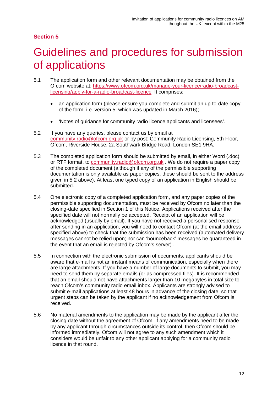# <span id="page-12-0"></span>5 Guidelines and procedures for submission of applications

- 5.1 The application form and other relevant documentation may be obtained from the Ofcom website at: [https://www.ofcom.org.uk/manage-your-licence/radio-broadcast](https://www.ofcom.org.uk/manage-your-licence/radio-broadcast-licensing/apply-for-a-radio-broadcast-licence)[licensing/apply-for-a-radio-broadcast-licence](https://www.ofcom.org.uk/manage-your-licence/radio-broadcast-licensing/apply-for-a-radio-broadcast-licence) It comprises:
	- an application form (please ensure you complete and submit an up-to-date copy of the form, i.e. version 5, which was updated in March 2016);
	- 'Notes of guidance for community radio licence applicants and licensees'.
- 5.2 If you have any queries, please contact us by email at [community.radio@ofcom.org.uk](mailto:community.radio@ofcom.org.uk) or by post: Community Radio Licensing, 5th Floor, Ofcom, Riverside House, 2a Southwark Bridge Road, London SE1 9HA.
- 5.3 The completed application form should be submitted by email, in either Word (.doc) or RTF format, to [community.radio@ofcom.org.uk](mailto:community.radio@ofcom.org.uk) . We do not require a paper copy of the completed document (although if any of the permissible supporting documentation is only available as paper copies, these should be sent to the address given in 5.2 above). At least one typed copy of an application in English should be submitted.
- 5.4 One electronic copy of a completed application form, and any paper copies of the permissible supporting documentation, must be received by Ofcom no later than the closing-date specified in Section 1 of this Notice. Applications received after the specified date will not normally be accepted. Receipt of an application will be acknowledged (usually by email). If you have not received a personalised response after sending in an application, you will need to contact Ofcom (at the email address specified above) to check that the submission has been received (automated delivery messages cannot be relied upon; nor can 'bounceback' messages be guaranteed in the event that an email is rejected by Ofcom's server) .
- 5.5 In connection with the electronic submission of documents, applicants should be aware that e-mail is not an instant means of communication, especially when there are large attachments. If you have a number of large documents to submit, you may need to send them by separate emails (or as compressed files). It is recommended that an email should not have attachments larger than 10 megabytes in total size to reach Ofcom's community radio email inbox. Applicants are strongly advised to submit e-mail applications at least 48 hours in advance of the closing date, so that urgent steps can be taken by the applicant if no acknowledgement from Ofcom is received.
- 5.6 No material amendments to the application may be made by the applicant after the closing date without the agreement of Ofcom. If any amendments need to be made by any applicant through circumstances outside its control, then Ofcom should be informed immediately. Ofcom will not agree to any such amendment which it considers would be unfair to any other applicant applying for a community radio licence in that round.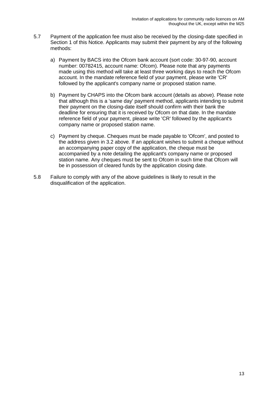- 5.7 Payment of the application fee must also be received by the closing-date specified in Section 1 of this Notice. Applicants may submit their payment by any of the following methods:
	- a) Payment by BACS into the Ofcom bank account (sort code: 30-97-90, account number: 00782415, account name: Ofcom). Please note that any payments made using this method will take at least three working days to reach the Ofcom account. In the mandate reference field of your payment, please write 'CR' followed by the applicant's company name or proposed station name.
	- b) Payment by CHAPS into the Ofcom bank account (details as above). Please note that although this is a 'same day' payment method, applicants intending to submit their payment on the closing-date itself should confirm with their bank the deadline for ensuring that it is received by Ofcom on that date. In the mandate reference field of your payment, please write 'CR' followed by the applicant's company name or proposed station name.
	- c) Payment by cheque. Cheques must be made payable to 'Ofcom', and posted to the address given in 3.2 above. If an applicant wishes to submit a cheque without an accompanying paper copy of the application, the cheque must be accompanied by a note detailing the applicant's company name or proposed station name. Any cheques must be sent to Ofcom in such time that Ofcom will be in possession of cleared funds by the application closing date.
- 5.8 Failure to comply with any of the above guidelines is likely to result in the disqualification of the application.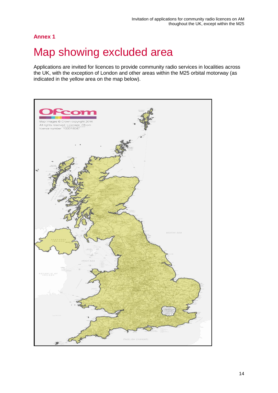### **Annex 1**

## <span id="page-14-0"></span>Map showing excluded area

Applications are invited for licences to provide community radio services in localities across the UK, with the exception of London and other areas within the M25 orbital motorway (as indicated in the yellow area on the map below).